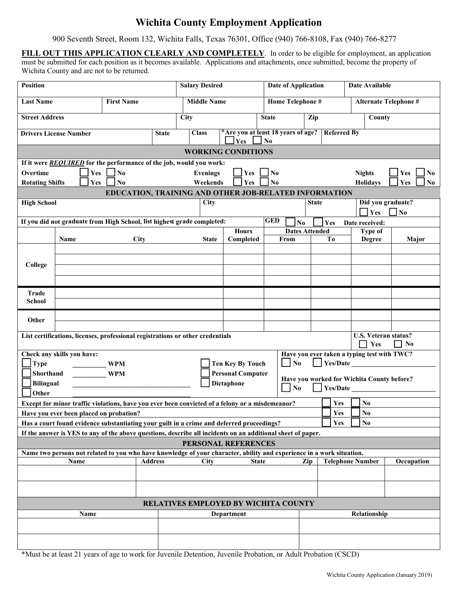# **Wichita County Employment Application**

900 Seventh Street, Room 132, Wichita Falls, Texas 76301, Office (940) 766-8108, Fax (940) 766-8277

**FILL OUT THIS APPLICATION CLEARLY AND COMPLETELY**. In order to be eligible for employment, an application must be submitted for each position as it becomes available. Applications and attachments, once submitted, become the property of Wichita County and are not to be returned.

| <b>Position</b>                                                                                                                    |                            |                                                                                |                    | <b>Salary Desired</b>     |                                           | <b>Date of Application</b> |                                             |                        | Date Available |                    |                                                        |  |
|------------------------------------------------------------------------------------------------------------------------------------|----------------------------|--------------------------------------------------------------------------------|--------------------|---------------------------|-------------------------------------------|----------------------------|---------------------------------------------|------------------------|----------------|--------------------|--------------------------------------------------------|--|
| <b>Last Name</b><br><b>First Name</b>                                                                                              |                            |                                                                                | <b>Middle Name</b> |                           | Home Telephone #                          |                            |                                             | Alternate Telephone #  |                |                    |                                                        |  |
| <b>Street Address</b>                                                                                                              |                            |                                                                                | <b>City</b>        | Zip<br><b>State</b>       |                                           |                            |                                             | County                 |                |                    |                                                        |  |
| <b>Drivers License Number</b>                                                                                                      |                            |                                                                                | <b>State</b>       | <b>Class</b>              | *Are you at least 18 years of age?<br>Yes | N <sub>0</sub>             |                                             | <b>Referred By</b>     |                |                    |                                                        |  |
|                                                                                                                                    |                            |                                                                                |                    | <b>WORKING CONDITIONS</b> |                                           |                            |                                             |                        |                |                    |                                                        |  |
|                                                                                                                                    |                            | If it were REQUIRED for the performance of the job, would you work:            |                    |                           |                                           |                            |                                             |                        |                |                    |                                                        |  |
| Overtime                                                                                                                           | Yes                        | $\Box$ No                                                                      |                    | <b>Evenings</b>           | Yes                                       | $\overline{\mathbf{N}}$    |                                             |                        | <b>Nights</b>  |                    | Yes<br>No                                              |  |
| <b>Rotating Shifts</b>                                                                                                             | Yes                        | No                                                                             |                    | Weekends                  | Yes                                       | N <sub>0</sub>             |                                             |                        |                | <b>Holidays</b>    | Yes<br>No                                              |  |
|                                                                                                                                    |                            | EDUCATION, TRAINING AND OTHER JOB-RELATED INFORMATION                          |                    |                           |                                           |                            |                                             |                        |                |                    |                                                        |  |
| <b>High School</b>                                                                                                                 |                            |                                                                                |                    | City                      |                                           |                            | <b>State</b>                                |                        |                |                    | Did you graduate?                                      |  |
|                                                                                                                                    |                            |                                                                                |                    |                           |                                           |                            |                                             |                        |                | $\blacksquare$ Yes | $\Box$ No                                              |  |
|                                                                                                                                    |                            | If you did not graduate from High School, list highest grade completed:        |                    |                           |                                           | <b>GED</b>                 | N <sub>0</sub>                              | Yes                    |                | Date received:     |                                                        |  |
|                                                                                                                                    |                            |                                                                                |                    | <b>Hours</b>              |                                           |                            | <b>Dates Attended</b>                       |                        |                | Type of            |                                                        |  |
|                                                                                                                                    | Name                       | <b>City</b>                                                                    |                    | <b>State</b>              | Completed                                 | From                       |                                             | To                     |                | Degree             | Major                                                  |  |
|                                                                                                                                    |                            |                                                                                |                    |                           |                                           |                            |                                             |                        |                |                    |                                                        |  |
|                                                                                                                                    |                            |                                                                                |                    |                           |                                           |                            |                                             |                        |                |                    |                                                        |  |
| College                                                                                                                            |                            |                                                                                |                    |                           |                                           |                            |                                             |                        |                |                    |                                                        |  |
|                                                                                                                                    |                            |                                                                                |                    |                           |                                           |                            |                                             |                        |                |                    |                                                        |  |
| Trade                                                                                                                              |                            |                                                                                |                    |                           |                                           |                            |                                             |                        |                |                    |                                                        |  |
| School                                                                                                                             |                            |                                                                                |                    |                           |                                           |                            |                                             |                        |                |                    |                                                        |  |
|                                                                                                                                    |                            |                                                                                |                    |                           |                                           |                            |                                             |                        |                |                    |                                                        |  |
| Other                                                                                                                              |                            |                                                                                |                    |                           |                                           |                            |                                             |                        |                |                    |                                                        |  |
|                                                                                                                                    |                            | List certifications, licenses, professional registrations or other credentials |                    |                           |                                           |                            |                                             |                        |                | Yes                | U.S. Veteran status?<br>$\mathsf{L}$<br>N <sub>0</sub> |  |
|                                                                                                                                    | Check any skills you have: |                                                                                |                    |                           |                                           |                            | Have you ever taken a typing test with TWC? |                        |                |                    |                                                        |  |
| Type                                                                                                                               |                            | <b>WPM</b>                                                                     |                    |                           | <b>Ten Key By Touch</b>                   | $\Box$ No                  |                                             | $\Box$ Yes/Date $\Box$ |                |                    |                                                        |  |
| Shorthand                                                                                                                          |                            | <b>WPM</b>                                                                     |                    |                           | <b>Personal Computer</b>                  |                            |                                             |                        |                |                    |                                                        |  |
|                                                                                                                                    |                            |                                                                                |                    |                           |                                           |                            | Have you worked for Wichita County before?  |                        |                |                    |                                                        |  |
| <b>Dictaphone</b><br><b>Bilingual</b><br>$\Box$ No<br>Yes/Date                                                                     |                            |                                                                                |                    |                           |                                           |                            |                                             |                        |                |                    |                                                        |  |
| Other<br>N <sub>0</sub>                                                                                                            |                            |                                                                                |                    |                           |                                           |                            |                                             |                        |                |                    |                                                        |  |
| Except for minor traffic violations, have you ever been convicted of a felony or a misdemeanor?                                    |                            |                                                                                |                    |                           |                                           |                            | Yes<br>Yes                                  |                        |                |                    |                                                        |  |
| Have you ever been placed on probation?                                                                                            |                            |                                                                                |                    |                           |                                           |                            | N <sub>0</sub><br>No                        |                        |                |                    |                                                        |  |
| Yes<br>Has a court found evidence substantiating your guilt in a crime and deferred proceedings?                                   |                            |                                                                                |                    |                           |                                           |                            |                                             |                        |                |                    |                                                        |  |
| If the answer is YES to any of the above questions, describe all incidents on an additional sheet of paper.<br>PERSONAL REFERENCES |                            |                                                                                |                    |                           |                                           |                            |                                             |                        |                |                    |                                                        |  |
| Name two persons not related to you who have knowledge of your character, ability and experience in a work situation.              |                            |                                                                                |                    |                           |                                           |                            |                                             |                        |                |                    |                                                        |  |
| <b>Address</b><br>Zip<br><b>Telephone Number</b><br>Occupation<br>Name<br><b>City</b><br><b>State</b>                              |                            |                                                                                |                    |                           |                                           |                            |                                             |                        |                |                    |                                                        |  |
|                                                                                                                                    |                            |                                                                                |                    |                           |                                           |                            |                                             |                        |                |                    |                                                        |  |
|                                                                                                                                    |                            |                                                                                |                    |                           |                                           |                            |                                             |                        |                |                    |                                                        |  |
| RELATIVES EMPLOYED BY WICHITA COUNTY                                                                                               |                            |                                                                                |                    |                           |                                           |                            |                                             |                        |                |                    |                                                        |  |
| Name<br>Relationship<br>Department                                                                                                 |                            |                                                                                |                    |                           |                                           |                            |                                             |                        |                |                    |                                                        |  |
|                                                                                                                                    |                            |                                                                                |                    |                           |                                           |                            |                                             |                        |                |                    |                                                        |  |
|                                                                                                                                    |                            |                                                                                |                    |                           |                                           |                            |                                             |                        |                |                    |                                                        |  |
|                                                                                                                                    |                            |                                                                                |                    |                           |                                           |                            |                                             |                        |                |                    |                                                        |  |

\*Must be at least 21 years of age to work for Juvenile Detention, Juvenile Probation, or Adult Probation (CSCD)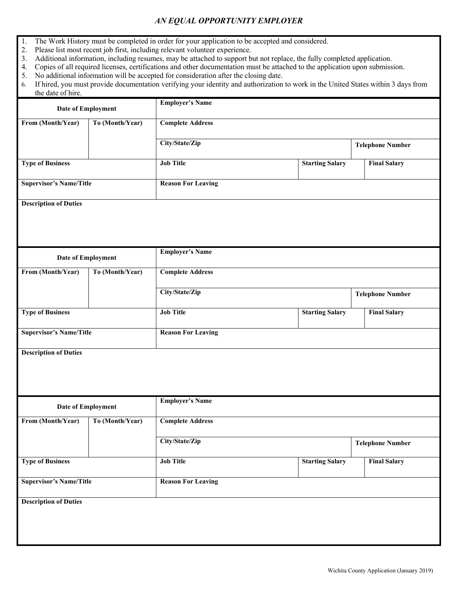### *AN EQUAL OPPORTUNITY EMPLOYER*

- 1. The Work History must be completed in order for your application to be accepted and considered.
- 2. Please list most recent job first, including relevant volunteer experience.
- 3. Additional information, including resumes, may be attached to support but not replace, the fully completed application.
- 4. Copies of all required licenses, certifications and other documentation must be attached to the application upon submission.
- 5. No additional information will be accepted for consideration after the closing date.
- 6. If hired, you must provide documentation verifying your identity and authorization to work in the United States within 3 days from the date of hire.

| Date of Employment             | <b>Employer's Name</b>    |                         |                         |                         |  |  |  |
|--------------------------------|---------------------------|-------------------------|-------------------------|-------------------------|--|--|--|
| To (Month/Year)                | <b>Complete Address</b>   |                         |                         |                         |  |  |  |
|                                | City/State/Zip            | <b>Telephone Number</b> |                         |                         |  |  |  |
|                                | <b>Job Title</b>          | <b>Starting Salary</b>  |                         | <b>Final Salary</b>     |  |  |  |
| <b>Supervisor's Name/Title</b> | <b>Reason For Leaving</b> |                         |                         |                         |  |  |  |
|                                |                           |                         |                         |                         |  |  |  |
|                                |                           |                         |                         |                         |  |  |  |
|                                | <b>Employer's Name</b>    |                         |                         |                         |  |  |  |
| To (Month/Year)                | <b>Complete Address</b>   |                         |                         |                         |  |  |  |
|                                | City/State/Zip            |                         | <b>Telephone Number</b> |                         |  |  |  |
|                                | <b>Job Title</b>          | <b>Starting Salary</b>  |                         | <b>Final Salary</b>     |  |  |  |
| <b>Supervisor's Name/Title</b> | <b>Reason For Leaving</b> |                         |                         |                         |  |  |  |
|                                |                           |                         |                         |                         |  |  |  |
|                                |                           |                         |                         |                         |  |  |  |
| Date of Employment             | <b>Employer's Name</b>    |                         |                         |                         |  |  |  |
| To (Month/Year)                | <b>Complete Address</b>   |                         |                         |                         |  |  |  |
|                                | City/State/Zip            |                         |                         | <b>Telephone Number</b> |  |  |  |
|                                | <b>Job Title</b>          | <b>Starting Salary</b>  |                         | <b>Final Salary</b>     |  |  |  |
| <b>Supervisor's Name/Title</b> | <b>Reason For Leaving</b> |                         |                         |                         |  |  |  |
|                                |                           |                         |                         |                         |  |  |  |
|                                |                           |                         |                         |                         |  |  |  |
|                                |                           |                         |                         |                         |  |  |  |
|                                | <b>Date of Employment</b> |                         |                         |                         |  |  |  |